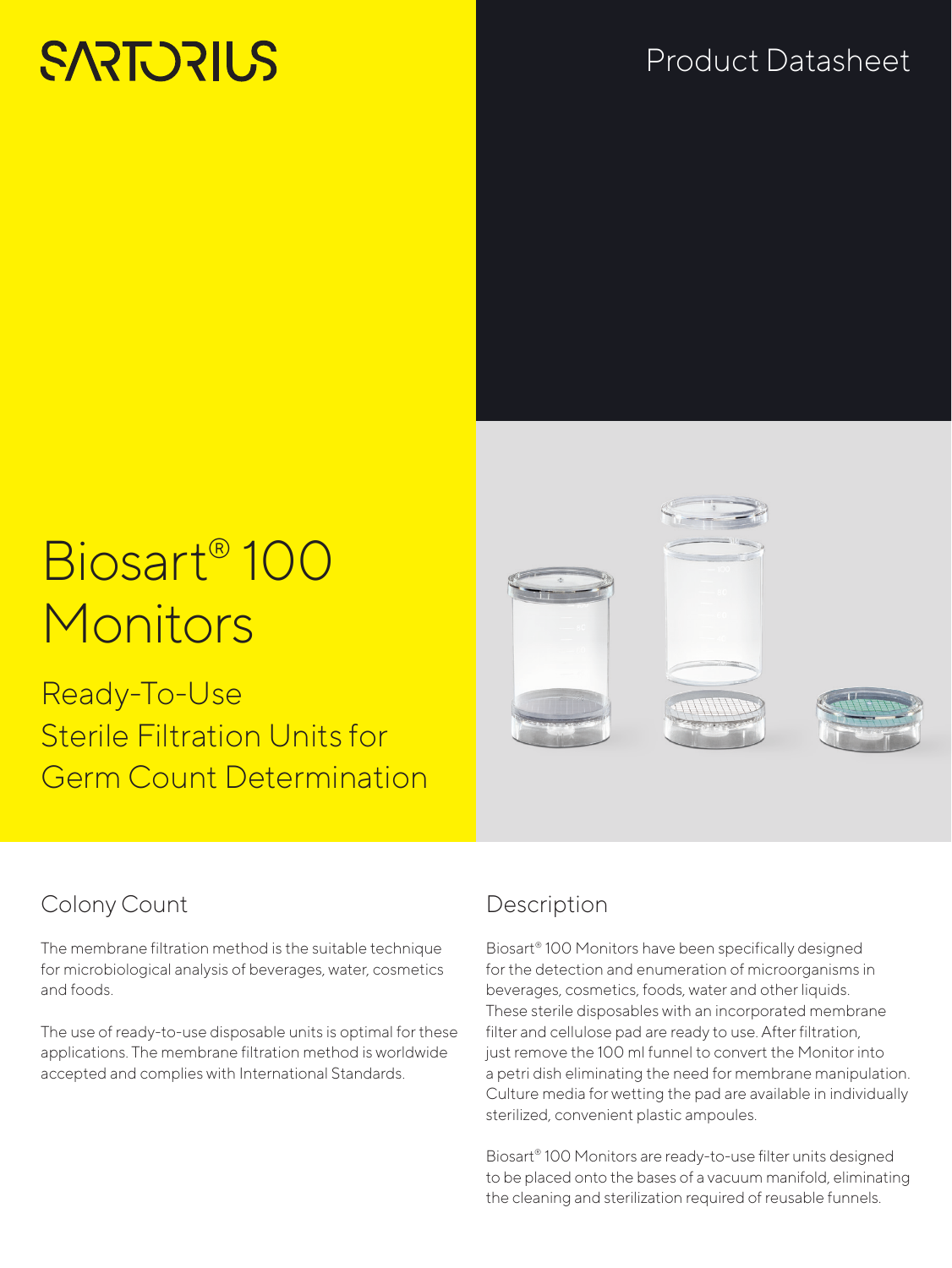# **SARTORILS**

# Product Datasheet

# Biosart® 100 Monitors

Ready-To-Use Sterile Filtration Units for Germ Count Determination



## Colony Count

The membrane filtration method is the suitable technique for microbiological analysis of beverages, water, cosmetics and foods.

The use of ready-to-use disposable units is optimal for these applications. The membrane filtration method is worldwide accepted and complies with International Standards.

## Description

Biosart® 100 Monitors have been specifically designed for the detection and enumeration of microorganisms in beverages, cosmetics, foods, water and other liquids. These sterile disposables with an incorporated membrane filter and cellulose pad are ready to use. After filtration, just remove the 100 ml funnel to convert the Monitor into a petri dish eliminating the need for membrane manipulation. Culture media for wetting the pad are available in individually sterilized, convenient plastic ampoules.

Biosart® 100 Monitors are ready-to-use filter units designed to be placed onto the bases of a vacuum manifold, eliminating the cleaning and sterilization required of reusable funnels.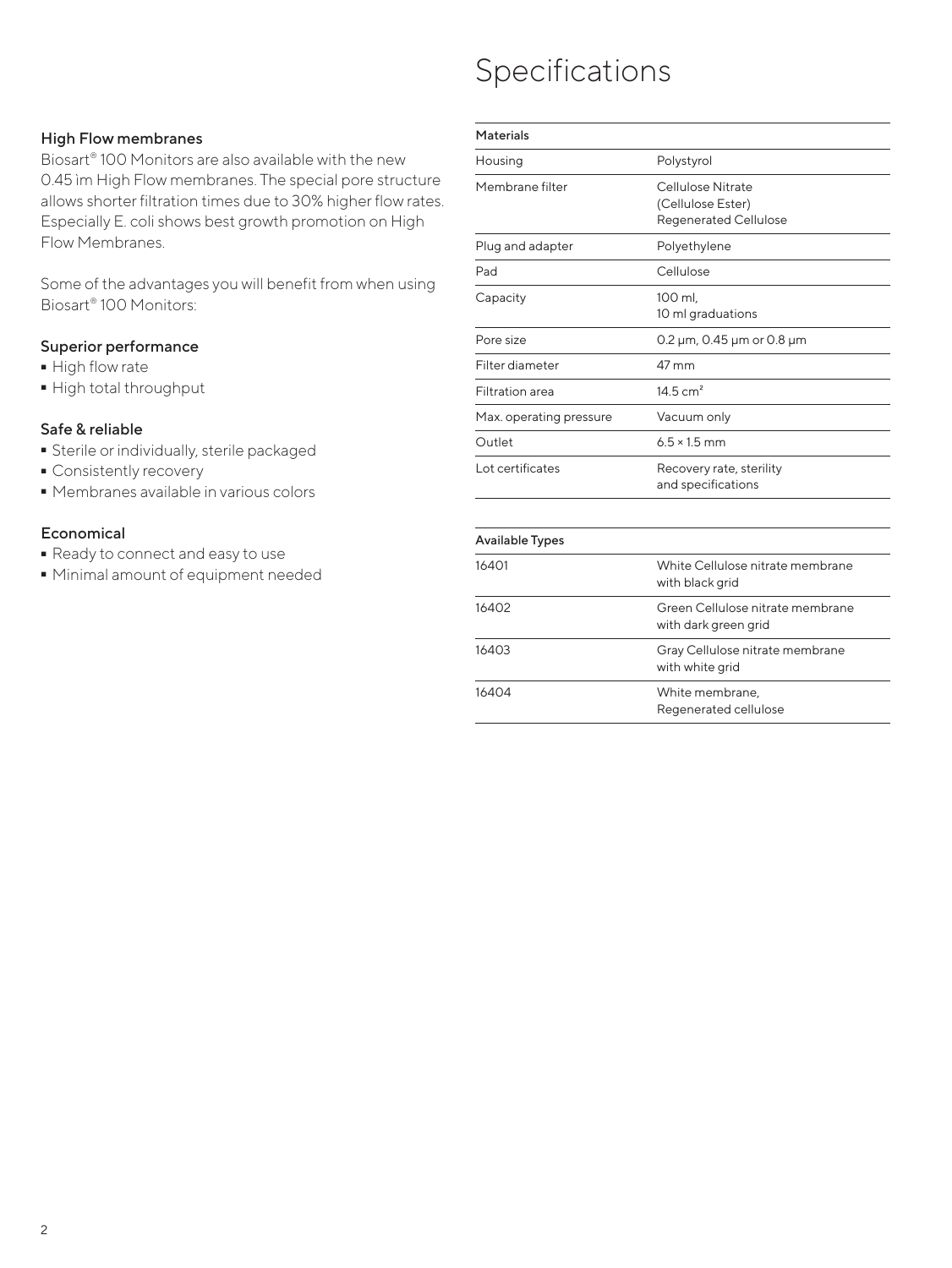# Specifications

### High Flow membranes

Biosart® 100 Monitors are also available with the new 0.45 ìm High Flow membranes. The special pore structure allows shorter filtration times due to 30% higher flow rates. Especially E. coli shows best growth promotion on High Flow Membranes.

Some of the advantages you will benefit from when using Biosart® 100 Monitors:

### Superior performance

- 
- High flow rate<br>• High total thro  $\overline{\phantom{a}}$  High total throughput<br>

### Safe & reliable

- **Sterile or individually, sterile packaged**<br>Consistently recovery
- 
- Consistently recovery<br>• Membranes available - Membranes available in various colors

### **Economical**

- 
- Ready to connect and easy to use<br>■ Minimal amount of equipment ne - Minimal amount of equipment needed

| Materials               |                                                                        |
|-------------------------|------------------------------------------------------------------------|
| Housing                 | Polystyrol                                                             |
| Membrane filter         | Cellulose Nitrate<br>(Cellulose Ester)<br><b>Regenerated Cellulose</b> |
| Plug and adapter        | Polyethylene                                                           |
| Pad                     | Cellulose                                                              |
| Capacity                | 100 ml,<br>10 ml graduations                                           |
| Pore size               | 0.2 $\mu$ m, 0.45 $\mu$ m or 0.8 $\mu$ m                               |
| Filter diameter         | 47 mm                                                                  |
| <b>Filtration</b> area  | 14.5 $cm2$                                                             |
| Max. operating pressure | Vacuum only                                                            |
| Outlet                  | $6.5 \times 1.5$ mm                                                    |
| Lot certificates        | Recovery rate, sterility<br>and specifications                         |

| <b>Available Types</b> |                                                          |
|------------------------|----------------------------------------------------------|
| 16401                  | White Cellulose nitrate membrane<br>with black grid      |
| 16402                  | Green Cellulose nitrate membrane<br>with dark green grid |
| 16403                  | Gray Cellulose nitrate membrane<br>with white grid       |
| 16404                  | White membrane,<br>Regenerated cellulose                 |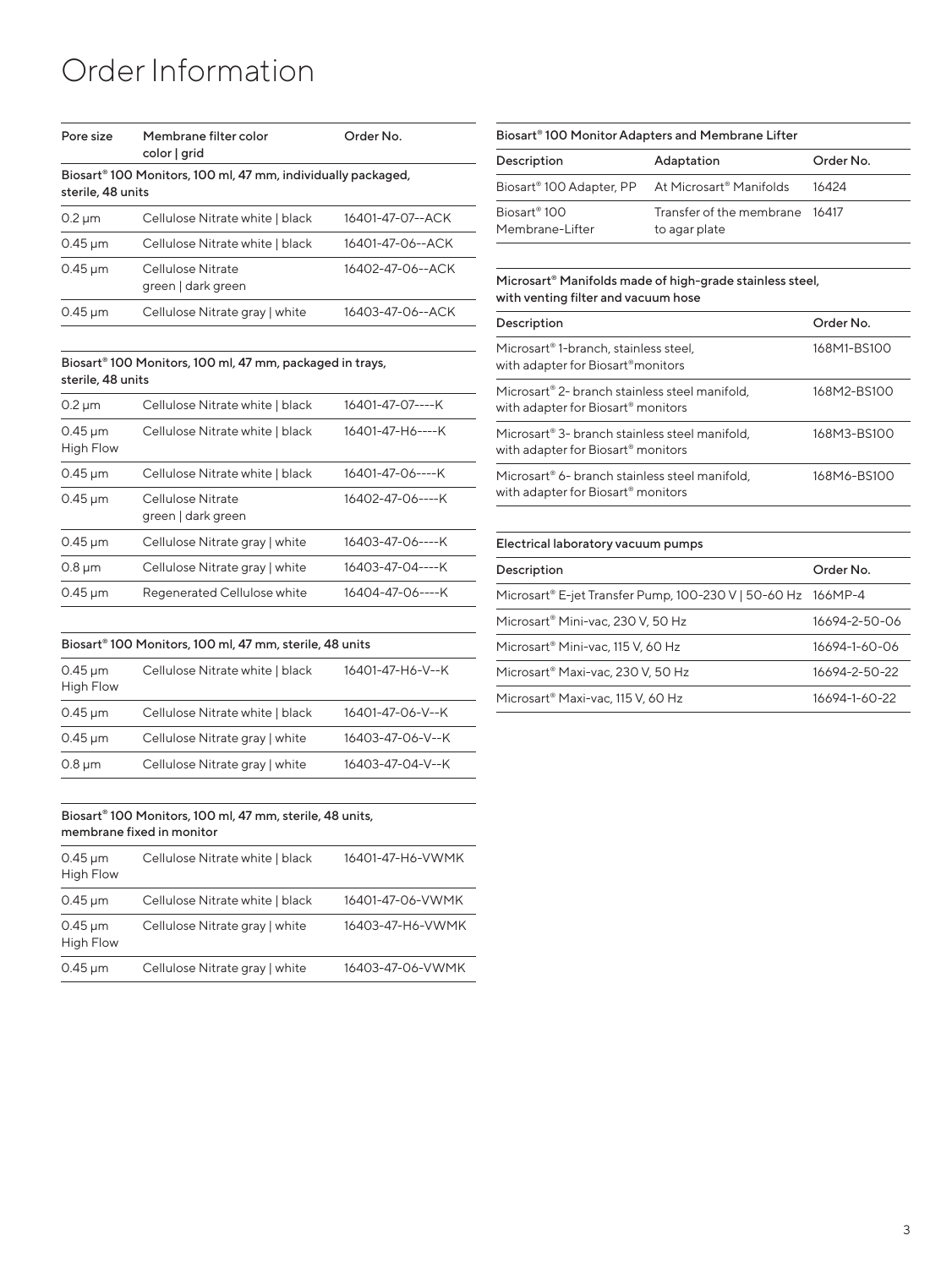# Order Information

| Pore size                                                                                     | Membrane filter color<br>color   grid   | Order No.        |
|-----------------------------------------------------------------------------------------------|-----------------------------------------|------------------|
| Biosart <sup>®</sup> 100 Monitors, 100 ml, 47 mm, individually packaged,<br>sterile, 48 units |                                         |                  |
| $0.2 \mu m$                                                                                   | Cellulose Nitrate white   black         | 16401-47-07--ACK |
| $0.45 \,\mathrm{\upmu m}$                                                                     | Cellulose Nitrate white   black         | 16401-47-06--ACK |
| $0.45 \,\mathrm{\upmu m}$                                                                     | Cellulose Nitrate<br>green   dark green | 16402-47-06--ACK |
| $0.45 \,\mathrm{\upmu m}$                                                                     | Cellulose Nitrate gray   white          | 16403-47-06--ACK |

#### Biosart® 100 Monitors, 100 ml, 47 mm, packaged in trays, sterile, 48 units

| 16401-47-07----K<br>$0.2 \mu m$<br>Cellulose Nitrate white   black<br>16401-47-H6----K<br>$0.45 \,\mathrm{\upmu m}$<br>Cellulose Nitrate white   black<br>High Flow<br>16401-47-06----K<br>Cellulose Nitrate white   black<br>$0.45 \,\mathrm{\upmu m}$<br>16402-47-06----K<br>Cellulose Nitrate<br>$0.45 \,\mathrm{\upmu m}$<br>green   dark green<br>16403-47-06----K<br>$0.45 \,\mathrm{\upmu m}$<br>Cellulose Nitrate gray   white<br>16403-47-04----K<br>Cellulose Nitrate gray   white<br>$0.8 \mu m$<br>16404-47-06----K<br>$0.45 \,\mathrm{\upmu m}$<br>Regenerated Cellulose white |  |  |
|---------------------------------------------------------------------------------------------------------------------------------------------------------------------------------------------------------------------------------------------------------------------------------------------------------------------------------------------------------------------------------------------------------------------------------------------------------------------------------------------------------------------------------------------------------------------------------------------|--|--|
|                                                                                                                                                                                                                                                                                                                                                                                                                                                                                                                                                                                             |  |  |
|                                                                                                                                                                                                                                                                                                                                                                                                                                                                                                                                                                                             |  |  |
|                                                                                                                                                                                                                                                                                                                                                                                                                                                                                                                                                                                             |  |  |
|                                                                                                                                                                                                                                                                                                                                                                                                                                                                                                                                                                                             |  |  |
|                                                                                                                                                                                                                                                                                                                                                                                                                                                                                                                                                                                             |  |  |
|                                                                                                                                                                                                                                                                                                                                                                                                                                                                                                                                                                                             |  |  |
|                                                                                                                                                                                                                                                                                                                                                                                                                                                                                                                                                                                             |  |  |

#### Biosart® 100 Monitors, 100 ml, 47 mm, sterile, 48 units

| $0.45 \,\mathrm{\upmu m}$<br><b>High Flow</b> | Cellulose Nitrate white   black | 16401-47-H6-V--K |
|-----------------------------------------------|---------------------------------|------------------|
| $0.45 \,\mathrm{\upmu m}$                     | Cellulose Nitrate white   black | 16401-47-06-V--K |
| $0.45 \,\mathrm{\upmu m}$                     | Cellulose Nitrate gray   white  | 16403-47-06-V--K |
| $0.8 \mu m$                                   | Cellulose Nitrate gray   white  | 16403-47-04-V--K |

#### Biosart® 100 Monitors, 100 ml, 47 mm, sterile, 48 units, membrane fixed in monitor

| $0.45 \,\mathrm{\upmu m}$<br><b>High Flow</b> | Cellulose Nitrate white   black | 16401-47-H6-VWMK |
|-----------------------------------------------|---------------------------------|------------------|
| $0.45 \,\mathrm{\upmu m}$                     | Cellulose Nitrate white   black | 16401-47-06-VWMK |
| $0.45 \,\mathrm{\upmu m}$<br>High Flow        | Cellulose Nitrate gray   white  | 16403-47-H6-VWMK |
| $0.45 \,\mathrm{\upmu m}$                     | Cellulose Nitrate gray   white  | 16403-47-06-VWMK |

#### Biosart® 100 Monitor Adapters and Membrane Lifter

| Description                                                              | Adaptation                                      | Order No. |
|--------------------------------------------------------------------------|-------------------------------------------------|-----------|
| Biosart <sup>®</sup> 100 Adapter, PP At Microsart <sup>®</sup> Manifolds |                                                 | 16424     |
| Biosart <sup>®</sup> 100<br>Membrane-Lifter                              | Transfer of the membrane 16417<br>to agar plate |           |

#### Microsart® Manifolds made of high-grade stainless steel, with venting filter and vacuum hose

| Description                                                                                                  | Order No.   |
|--------------------------------------------------------------------------------------------------------------|-------------|
| Microsart <sup>®</sup> 1-branch, stainless steel,<br>with adapter for Biosart <sup>®</sup> monitors          | 168M1-BS100 |
| Microsart <sup>®</sup> 2- branch stainless steel manifold,<br>with adapter for Biosart <sup>®</sup> monitors | 168M2-BS100 |
| Microsart <sup>®</sup> 3- branch stainless steel manifold,<br>with adapter for Biosart <sup>®</sup> monitors | 168M3-BS100 |
| Microsart <sup>®</sup> 6- branch stainless steel manifold,<br>with adapter for Biosart <sup>®</sup> monitors | 168M6-BS100 |

### Electrical laboratory vacuum pumps Description **Order No.** Microsart® E-jet Transfer Pump, 100-230 V | 50-60 Hz 166MP-4 Microsart<sup>®</sup> Mini-vac, 230 V, 50 Hz 16694-2-50-06 Microsart<sup>®</sup> Mini-vac, 115 V, 60 Hz 16694-1-60-06 Microsart® Maxi-vac, 230 V, 50 Hz 16694-2-50-22 Microsart® Maxi-vac, 115 V, 60 Hz 16694-1-60-22